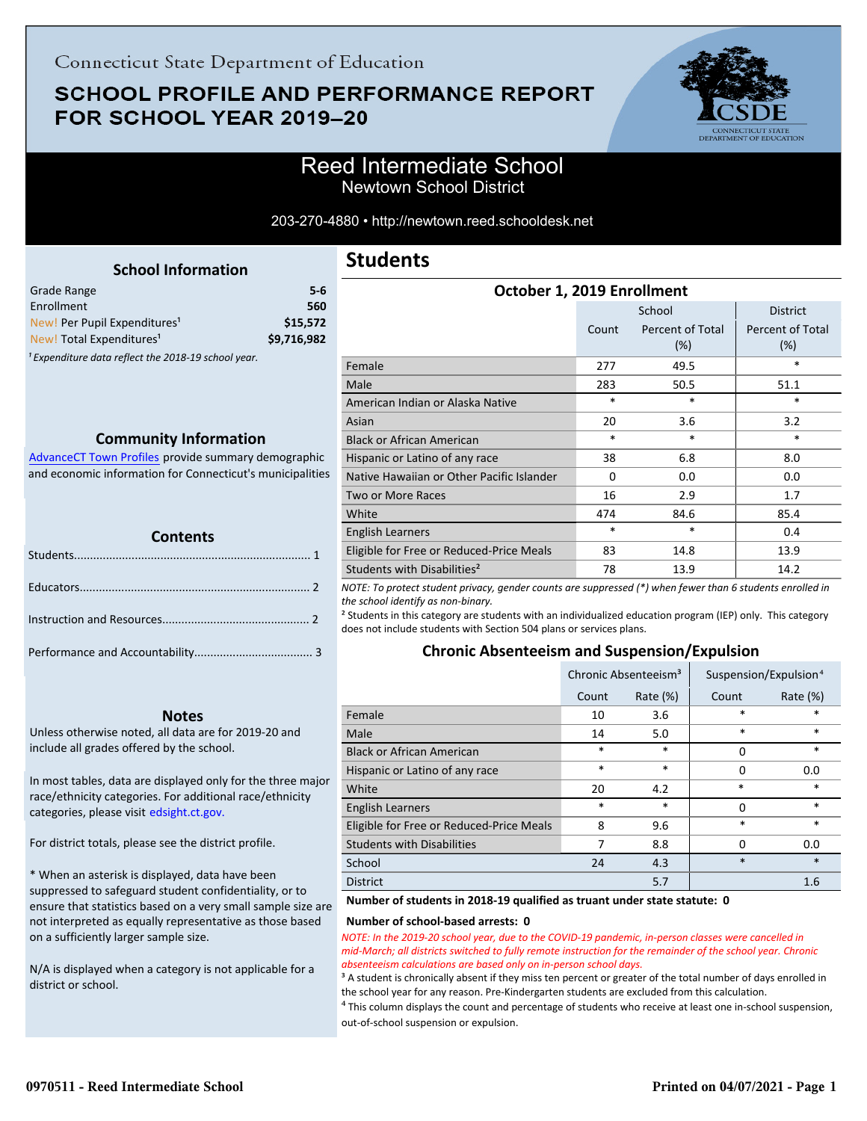# **SCHOOL PROFILE AND PERFORMANCE REPORT** FOR SCHOOL YEAR 2019-20



203-270-4880 • http://newtown.reed.schooldesk.net

|     | <b>School Information</b> |  |
|-----|---------------------------|--|
| າge |                           |  |

<span id="page-0-0"></span>

| Grade Range                              | $5-6$       |
|------------------------------------------|-------------|
| Enrollment                               | 560         |
| New! Per Pupil Expenditures <sup>1</sup> | \$15,572    |
| New! Total Expenditures <sup>1</sup>     | \$9,716,982 |
|                                          |             |

<sup>1</sup> Expenditure data reflect the 2018-19 school year.

### **Community Information**

AdvanceCT Town Profiles provide summary demographic  [and economic information for Connecticut's municipalities](http://www.cerc.com/townprofiles/)

| <b>TELERA</b><br><b>Contents</b> |  |
|----------------------------------|--|
|                                  |  |
|                                  |  |
|                                  |  |
|                                  |  |

### **Notes**

Unless otherwise noted, all data are for 2019-20 and include all grades offered by the school.

[In most tables, data are displayed only for the three major](http://edsight.ct.gov/) race/ethnicity categories. For additional race/ethnicity categories, please visit edsight.ct.gov.

For district totals, please see the district profile.

\* When an asterisk is displayed, data have been suppressed to safeguard student confidentiality, or to ensure that statistics based on a very small sample size are not interpreted as equally representative as those based on a sufficiently larger sample size.

N/A is displayed when a category is not applicable for a district or school.

# **Students**

| October 1, 2019 Enrollment                |        |                            |                            |  |  |
|-------------------------------------------|--------|----------------------------|----------------------------|--|--|
|                                           |        | School                     | <b>District</b>            |  |  |
|                                           | Count  | Percent of Total<br>$(\%)$ | Percent of Total<br>$(\%)$ |  |  |
| Female                                    | 277    | 49.5                       | $\ast$                     |  |  |
| Male                                      | 283    | 50.5                       | 51.1                       |  |  |
| American Indian or Alaska Native          | $\ast$ | $\ast$                     | $\ast$                     |  |  |
| Asian                                     | 20     | 3.6                        | 3.2                        |  |  |
| <b>Black or African American</b>          | $\ast$ | $\ast$                     | *                          |  |  |
| Hispanic or Latino of any race            | 38     | 6.8                        | 8.0                        |  |  |
| Native Hawaiian or Other Pacific Islander | 0      | 0.0                        | 0.0                        |  |  |
| Two or More Races                         | 16     | 2.9                        | 1.7                        |  |  |
| White                                     | 474    | 84.6                       | 85.4                       |  |  |
| <b>English Learners</b>                   | *      | $\ast$                     | 0.4                        |  |  |
| Eligible for Free or Reduced-Price Meals  | 83     | 14.8                       | 13.9                       |  |  |
| Students with Disabilities <sup>2</sup>   | 78     | 13.9                       | 14.2                       |  |  |

*NOTE: To protect student privacy, gender counts are suppressed (\*) when fewer than 6 students enrolled in the school identify as non-binary.*

² Students in this category are students with an individualized education program (IEP) only. This category does not include students with Section 504 plans or services plans.

### **Chronic Absenteeism and Suspension/Expulsion**

|                                          | Chronic Absenteeism <sup>3</sup> |             | Suspension/Expulsion <sup>4</sup> |             |
|------------------------------------------|----------------------------------|-------------|-----------------------------------|-------------|
|                                          | Count                            | Rate $(\%)$ | Count                             | Rate $(\%)$ |
| Female                                   | 10                               | 3.6         | *                                 | *           |
| Male                                     | 14                               | 5.0         | $\ast$                            | $\ast$      |
| <b>Black or African American</b>         | *                                | $\ast$      | 0                                 | $\ast$      |
| Hispanic or Latino of any race           | *                                | $\ast$      | 0                                 | 0.0         |
| White                                    | 20                               | 4.2         | $\ast$                            | *           |
| <b>English Learners</b>                  | *                                | $\ast$      | 0                                 | $\ast$      |
| Eligible for Free or Reduced-Price Meals | 8                                | 9.6         | *                                 | *           |
| <b>Students with Disabilities</b>        |                                  | 8.8         | 0                                 | 0.0         |
| School                                   | 24                               | 4.3         | $\ast$                            | $\ast$      |
| <b>District</b>                          |                                  | 5.7         |                                   | 1.6         |

#### **Number of students in 2018-19 qualified as truant under state statute: 0**

#### **Number of school-based arrests: 0**

*NOTE: In the 2019-20 school year, due to the COVID-19 pandemic, in-person classes were cancelled in mid-March; all districts switched to fully remote instruction for the remainder of the school year. Chronic absenteeism calculations are based only on in-person school days.*

<sup>3</sup> A student is chronically absent if they miss ten percent or greater of the total number of days enrolled in the school year for any reason. Pre-Kindergarten students are excluded from this calculation.

 $4$  This column displays the count and percentage of students who receive at least one in-school suspension, out-of-school suspension or expulsion.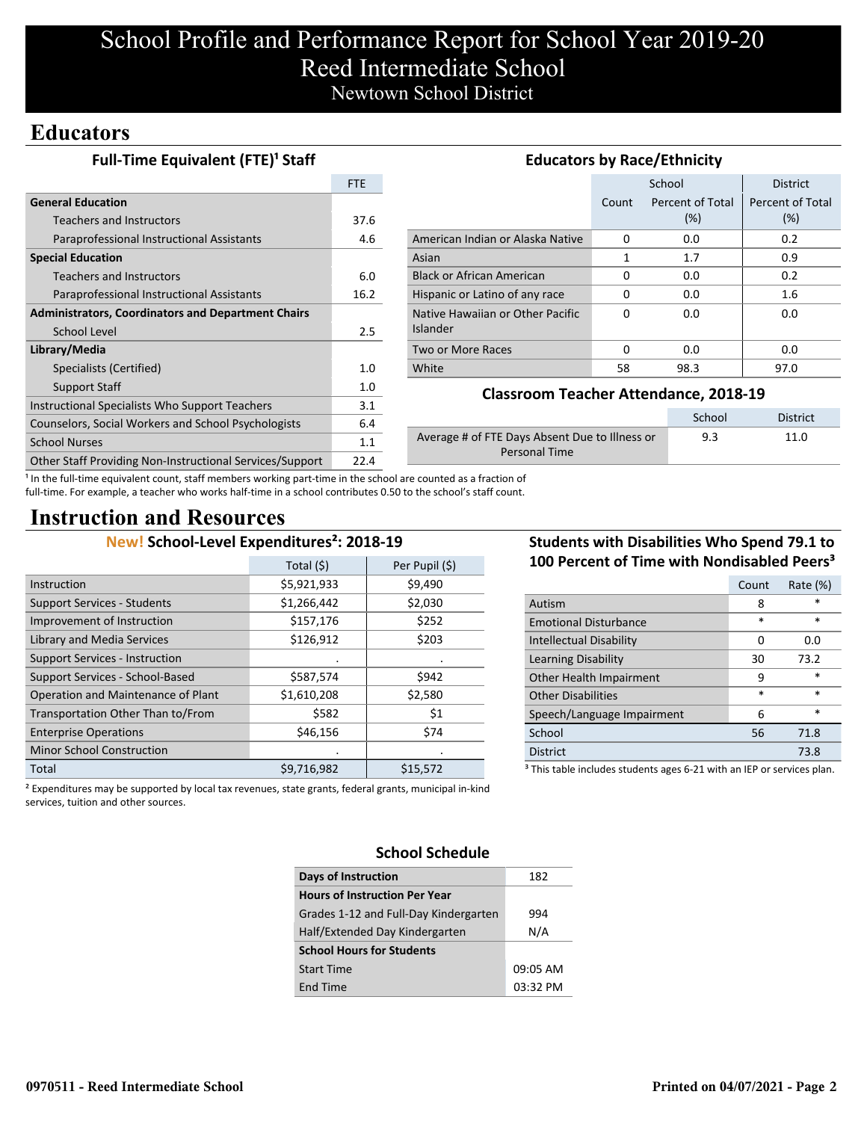# School Profile and Performance Report for School Year 2019-20 Reed Intermediate School Newtown School District

# **Educators**

| Full-Time Equivalent (FTE) <sup>1</sup> Staff             |            | <b>Educators by Race/Ethnicity</b>             |          |                  |                  |  |
|-----------------------------------------------------------|------------|------------------------------------------------|----------|------------------|------------------|--|
|                                                           | <b>FTE</b> |                                                |          | School           | <b>District</b>  |  |
| <b>General Education</b>                                  |            |                                                | Count    | Percent of Total | Percent of Total |  |
| <b>Teachers and Instructors</b>                           | 37.6       |                                                |          | (%)              | (%)              |  |
| Paraprofessional Instructional Assistants                 | 4.6        | American Indian or Alaska Native               | $\Omega$ | 0.0              | 0.2              |  |
| <b>Special Education</b>                                  |            | Asian                                          | 1        | 1.7              | 0.9              |  |
| <b>Teachers and Instructors</b>                           | 6.0        | <b>Black or African American</b>               | 0        | 0.0              | 0.2              |  |
| Paraprofessional Instructional Assistants                 | 16.2       | Hispanic or Latino of any race                 | 0        | 0.0              | 1.6              |  |
| <b>Administrators, Coordinators and Department Chairs</b> |            | Native Hawaiian or Other Pacific               | $\Omega$ | 0.0              | 0.0              |  |
| School Level                                              | 2.5        | <b>Islander</b>                                |          |                  |                  |  |
| Library/Media                                             |            | Two or More Races                              | $\Omega$ | 0.0              | 0.0              |  |
| Specialists (Certified)                                   | 1.0        | White                                          | 58       | 98.3             | 97.0             |  |
| Support Staff                                             |            | <b>Classroom Teacher Attendance, 2018-19</b>   |          |                  |                  |  |
| Instructional Specialists Who Support Teachers            | 3.1        |                                                |          |                  |                  |  |
| Counselors, Social Workers and School Psychologists       | 6.4        |                                                |          | School           | <b>District</b>  |  |
| <b>School Nurses</b>                                      | 1.1        | Average # of FTE Days Absent Due to Illness or |          | 9.3              | 11.0             |  |
| Other Staff Providing Non-Instructional Services/Support  | 22.4       | <b>Personal Time</b>                           |          |                  |                  |  |

<sup>1</sup> In the full-time equivalent count, staff members working part-time in the school are counted as a fraction of full-time. For example, a teacher who works half-time in a school contributes 0.50 to the school's staff count.

# **Instruction and Resources**

## **New! School-Level Expenditures²: 2018-19**

|                                       | Total (\$)  | Per Pupil (\$) |
|---------------------------------------|-------------|----------------|
| Instruction                           | \$5,921,933 | \$9,490        |
| <b>Support Services - Students</b>    | \$1,266,442 | \$2,030        |
| Improvement of Instruction            | \$157,176   | \$252          |
| <b>Library and Media Services</b>     | \$126,912   | \$203          |
| <b>Support Services - Instruction</b> |             |                |
| Support Services - School-Based       | \$587,574   | \$942          |
| Operation and Maintenance of Plant    | \$1,610,208 | \$2,580        |
| Transportation Other Than to/From     | \$582       | \$1            |
| <b>Enterprise Operations</b>          | \$46,156    | \$74           |
| <b>Minor School Construction</b>      |             |                |
| Total                                 | \$9,716,982 | \$15,572       |

## **Students with Disabilities Who Spend 79.1 to 100 Percent of Time with Nondisabled Peers³**

|                                                                                   | Count  | Rate (%) |  |  |
|-----------------------------------------------------------------------------------|--------|----------|--|--|
| Autism                                                                            | 8      | *        |  |  |
| <b>Emotional Disturbance</b>                                                      | *      | $\ast$   |  |  |
| <b>Intellectual Disability</b>                                                    | Ω      | 0.0      |  |  |
| Learning Disability                                                               | 30     | 73.2     |  |  |
| Other Health Impairment                                                           | 9      | $\ast$   |  |  |
| <b>Other Disabilities</b>                                                         | $\ast$ | $\ast$   |  |  |
| Speech/Language Impairment                                                        | 6      | $\ast$   |  |  |
| School                                                                            | 56     | 71.8     |  |  |
| <b>District</b>                                                                   |        | 73.8     |  |  |
| <sup>3</sup> This table includes students ages 6-21 with an IEP or services plan. |        |          |  |  |

² Expenditures may be supported by local tax revenues, state grants, federal grants, municipal in-kind services, tuition and other sources.

### **School Schedule**

| Days of Instruction                   | 182      |
|---------------------------------------|----------|
|                                       |          |
| <b>Hours of Instruction Per Year</b>  |          |
| Grades 1-12 and Full-Day Kindergarten | 994      |
| Half/Extended Day Kindergarten        | N/A      |
| <b>School Hours for Students</b>      |          |
| <b>Start Time</b>                     | 09:05 AM |
| End Time                              | 03:32 PM |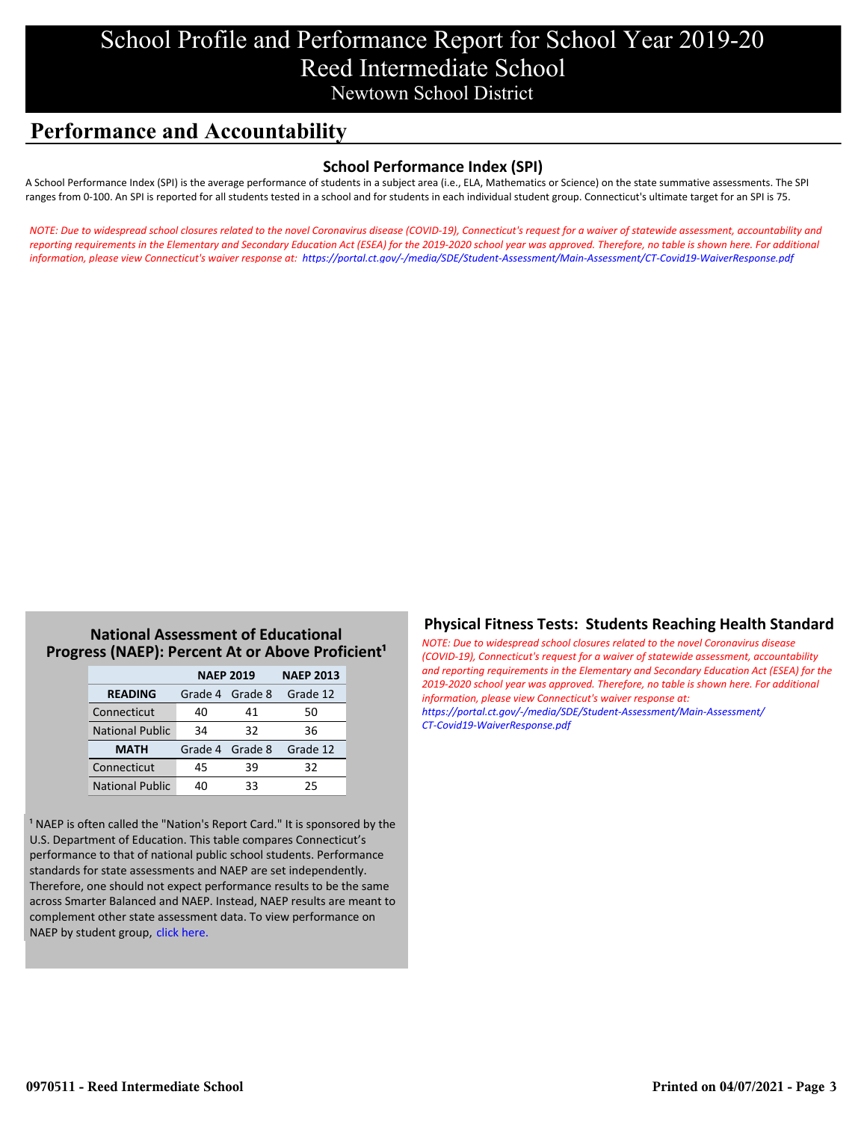# School Profile and Performance Report for School Year 2019-20 Reed Intermediate School Newtown School District

# **Performance and Accountability**

### **School Performance Index (SPI)**

A School Performance Index (SPI) is the average performance of students in a subject area (i.e., ELA, Mathematics or Science) on the state summative assessments. The SPI ranges from 0-100. An SPI is reported for all students tested in a school and for students in each individual student group. Connecticut's ultimate target for an SPI is 75.

*[NOTE: Due to widespread school closures related to the novel Coronavirus disease \(COVID-19\), Connecticut's request for a waiver of statewide assessment, accountability and](https://portal.ct.gov/-/media/SDE/Student-Assessment/Main-Assessment/CT-Covid19-WaiverResponse.pdf) reporting requirements in the Elementary and Secondary Education Act (ESEA) for the 2019-2020 school year was approved. Therefore, no table is shown here. For additional information, please view Connecticut's waiver response at: https://portal.ct.gov/-/media/SDE/Student-Assessment/Main-Assessment/CT-Covid19-WaiverResponse.pdf*

### **National Assessment of Educational Progress (NAEP): Percent At or Above Proficient<sup>1</sup>**

|                        | <b>NAEP 2019</b> | <b>NAEP 2013</b> |          |
|------------------------|------------------|------------------|----------|
| <b>READING</b>         | Grade 4 Grade 8  |                  | Grade 12 |
| Connecticut            | 40               | 41               | 50       |
| <b>National Public</b> | 34               | 32               | 36       |
| <b>MATH</b>            | Grade 4 Grade 8  |                  | Grade 12 |
| Connecticut            | 45               | 39               | 32       |
| <b>National Public</b> | 40               | 33               | 25       |

<sup>1</sup> NAEP is often called the "Nation's Report Card." It is sponsored by the U.S. Department of Education. This table compares Connecticut's performance to that of national public school students. Performance standards for state assessments and NAEP are set independently. Therefore, one should not expect performance results to be the same across Smarter Balanced and NAEP. Instead, NAEP results are meant to complement other state assessment data. To view performance on NAEP by student group, click here.

### **Physical Fitness Tests: Students Reaching Health Standard**

*NOTE: Due to widespread school closures related to the novel Coronavirus disease (COVID-19), Connecticut's request for a waiver of statewide assessment, accountability [and reporting requirements in the Elementary and Secondary Education Act \(ESEA\) for the](https://portal.ct.gov/-/media/SDE/Student-Assessment/Main-Assessment/CT-Covid19-WaiverResponse.pdf) 2019-2020 school year was approved. Therefore, no table is shown here. For additional information, please view Connecticut's waiver response at: https://portal.ct.gov/-/media/SDE/Student-Assessment/Main-Assessment/ CT-Covid19-WaiverResponse.pdf*